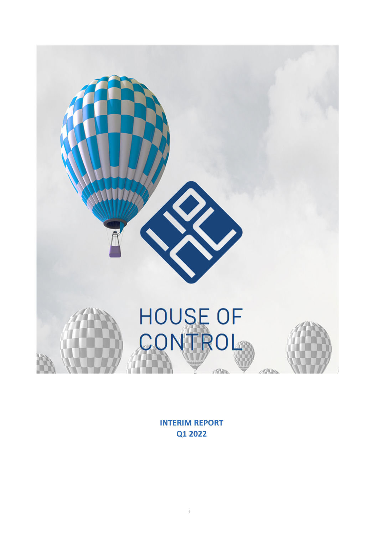

**INTERIM REPORT Q1 2022**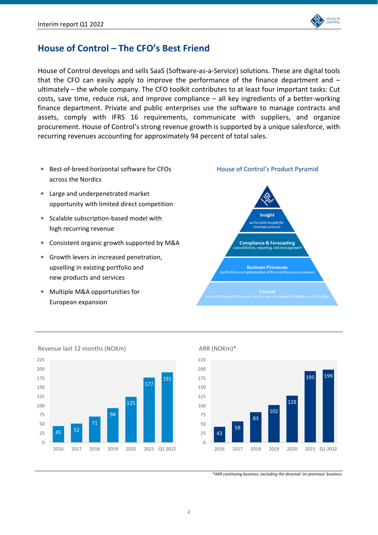

# **House of Control – The CFO's Best Friend**

House of Control develops and sells SaaS (Software‐as‐a‐Service) solutions. These are digital tools that the CFO can easily apply to improve the performance of the finance department and  $$ ultimately – the whole company. The CFO toolkit contributes to at least four important tasks: Cut costs, save time, reduce risk, and improve compliance – all key ingredients of a better‐working finance department. Private and public enterprises use the software to manage contracts and assets, comply with IFRS 16 requirements, communicate with suppliers, and organize procurement. House of Control's strong revenue growth is supported by a unique salesforce, with recurring revenues accounting for approximately 94 percent of total sales.

- Best‐of‐breed horizontal software for CFOs across the Nordics
- Large and underpenetrated market opportunity with limited direct competition
- Scalable subscription‐based model with high recurring revenue
- Consistent organic growth supported by M&A
- Growth levers in increased penetration, upselling in existing portfolio and new products and services
- Multiple M&A opportunities for European expansion





ARR (NOKm)\*



*\*ARR continuing business, excluding the divested 'on‐premises' business*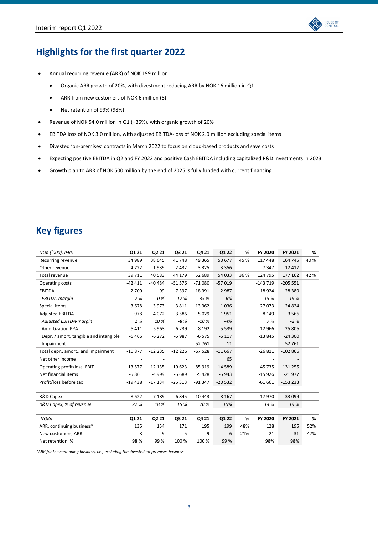

# **Highlights for the first quarter 2022**

- Annual recurring revenue (ARR) of NOK 199 million
	- Organic ARR growth of 20%, with divestment reducing ARR by NOK 16 million in Q1
	- ARR from new customers of NOK 6 million (8)
	- Net retention of 99% (98%)
- Revenue of NOK 54.0 million in Q1 (+36%), with organic growth of 20%
- EBITDA loss of NOK 3.0 million, with adjusted EBITDA‐loss of NOK 2.0 million excluding special items
- Divested 'on‐premises' contracts in March 2022 to focus on cloud‐based products and save costs
- Expecting positive EBITDA in Q2 and FY 2022 and positive Cash EBITDA including capitalized R&D investments in 2023
- Growth plan to ARR of NOK 500 million by the end of 2025 is fully funded with current financing

# **Key figures**

| <b>NOK ('000), IFRS</b>                | Q1 21    | Q2 21    | Q3 21    | Q4 21    | Q1 22    | %      | FY 2020                  | FY 2021   | %    |
|----------------------------------------|----------|----------|----------|----------|----------|--------|--------------------------|-----------|------|
| Recurring revenue                      | 34 989   | 38 645   | 41748    | 49 3 65  | 50 677   | 45 %   | 117 448                  | 164 745   | 40 % |
| Other revenue                          | 4722     | 1939     | 2432     | 3 3 2 5  | 3 3 5 6  |        | 7347                     | 12 4 17   |      |
| Total revenue                          | 39 711   | 40 5 83  | 44 179   | 52 689   | 54 033   | 36 %   | 124 795                  | 177 162   | 42 % |
| Operating costs                        | $-42411$ | $-40484$ | $-51576$ | $-71080$ | $-57019$ |        | $-143719$                | $-205551$ |      |
| <b>EBITDA</b>                          | $-2700$  | 99       | $-7397$  | $-18391$ | $-2987$  |        | $-18924$                 | $-28389$  |      |
| EBITDA-margin                          | $-7%$    | 0 %      | $-17%$   | $-35%$   | $-6%$    |        | $-15%$                   | $-16%$    |      |
| Special items                          | $-3678$  | $-3973$  | $-3811$  | $-13362$ | $-1036$  |        | $-27073$                 | $-24824$  |      |
| <b>Adjusted EBITDA</b>                 | 978      | 4072     | $-3586$  | $-5029$  | $-1951$  |        | 8 1 4 9                  | $-3566$   |      |
| Adjusted EBITDA-margin                 | 2%       | 10%      | $-8%$    | $-10%$   | $-4%$    |        | 7%                       | $-2%$     |      |
| <b>Amortization PPA</b>                | $-5411$  | $-5963$  | $-6239$  | $-8192$  | $-5539$  |        | $-12966$                 | $-25806$  |      |
| Depr. / amort. tangible and intangible | $-5466$  | $-6272$  | $-5987$  | $-6575$  | $-6117$  |        | $-13845$                 | $-24300$  |      |
| Impairment                             |          |          | ÷,       | $-52761$ | $-11$    |        | $\overline{\phantom{a}}$ | $-52761$  |      |
| Total depr., amort., and impairment    | $-10877$ | $-12235$ | $-12226$ | $-67528$ | $-11667$ |        | $-26811$                 | $-102866$ |      |
| Net other income                       |          |          |          |          | 65       |        |                          |           |      |
| Operating profit/loss, EBIT            | $-13577$ | $-12135$ | $-19623$ | $-85919$ | $-14589$ |        | $-45735$                 | $-131255$ |      |
| Net financial items                    | $-5861$  | -4 999   | $-5689$  | $-5428$  | $-5943$  |        | $-15926$                 | $-21977$  |      |
| Profit/loss before tax                 | $-19438$ | $-17134$ | $-25313$ | $-91347$ | $-20532$ |        | $-61661$                 | $-153233$ |      |
|                                        |          |          |          |          |          |        |                          |           |      |
| R&D Capex                              | 8622     | 7 1 8 9  | 6845     | 10 4 43  | 8 1 6 7  |        | 17970                    | 33 099    |      |
| R&D Capex, % of revenue                | 22 %     | 18%      | 15 %     | 20%      | 15%      |        | 14 %                     | 19%       |      |
|                                        |          |          |          |          |          |        |                          |           |      |
| <b>NOKm</b>                            | Q1 21    | Q2 21    | Q3 21    | Q4 21    | Q1 22    | %      | FY 2020                  | FY 2021   | ℅    |
| ARR, continuing business*              | 135      | 154      | 171      | 195      | 199      | 48%    | 128                      | 195       | 52%  |
| New customers, ARR                     | 8        | 9        | 5        | 9        | 6        | $-21%$ | 21                       | 31        | 47%  |
| Net retention, %                       | 98%      | 99%      | 100 %    | 100 %    | 99 %     |        | 98%                      | 98%       |      |

*\*ARR for the continuing business, i.e., excluding the divested on‐premises business*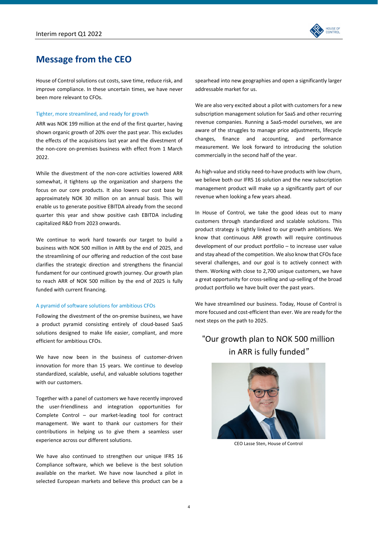

# **Message from the CEO**

House of Control solutions cut costs, save time, reduce risk, and improve compliance. In these uncertain times, we have never been more relevant to CFOs.

### Tighter, more streamlined, and ready for growth

ARR was NOK 199 million at the end of the first quarter, having shown organic growth of 20% over the past year. This excludes the effects of the acquisitions last year and the divestment of the non-core on-premises business with effect from 1 March 2022.

While the divestment of the non‐core activities lowered ARR somewhat, it tightens up the organization and sharpens the focus on our core products. It also lowers our cost base by approximately NOK 30 million on an annual basis. This will enable us to generate positive EBITDA already from the second quarter this year and show positive cash EBITDA including capitalized R&D from 2023 onwards.

We continue to work hard towards our target to build a business with NOK 500 million in ARR by the end of 2025, and the streamlining of our offering and reduction of the cost base clarifies the strategic direction and strengthens the financial fundament for our continued growth journey. Our growth plan to reach ARR of NOK 500 million by the end of 2025 is fully funded with current financing.

### A pyramid of software solutions for ambitious CFOs

Following the divestment of the on‐premise business, we have a product pyramid consisting entirely of cloud‐based SaaS solutions designed to make life easier, compliant, and more efficient for ambitious CFOs.

We have now been in the business of customer-driven innovation for more than 15 years. We continue to develop standardized, scalable, useful, and valuable solutions together with our customers.

Together with a panel of customers we have recently improved the user‐friendliness and integration opportunities for Complete Control – our market‐leading tool for contract management. We want to thank our customers for their contributions in helping us to give them a seamless user experience across our different solutions.

We have also continued to strengthen our unique IFRS 16 Compliance software, which we believe is the best solution available on the market. We have now launched a pilot in selected European markets and believe this product can be a

spearhead into new geographies and open a significantly larger addressable market for us.

We are also very excited about a pilot with customers for a new subscription management solution for SaaS and other recurring revenue companies. Running a SaaS‐model ourselves, we are aware of the struggles to manage price adjustments, lifecycle changes, finance and accounting, and performance measurement. We look forward to introducing the solution commercially in the second half of the year.

As high‐value and sticky need‐to‐have products with low churn, we believe both our IFRS 16 solution and the new subscription management product will make up a significantly part of our revenue when looking a few years ahead.

In House of Control, we take the good ideas out to many customers through standardized and scalable solutions. This product strategy is tightly linked to our growth ambitions. We know that continuous ARR growth will require continuous development of our product portfolio – to increase user value and stay ahead of the competition. We also know that CFOs face several challenges, and our goal is to actively connect with them. Working with close to 2,700 unique customers, we have a great opportunity for cross‐selling and up‐selling of the broad product portfolio we have built over the past years.

We have streamlined our business. Today, House of Control is more focused and cost-efficient than ever. We are ready for the next steps on the path to 2025.

# "Our growth plan to NOK 500 million in ARR is fully funded*"*



CEO Lasse Sten, House of Control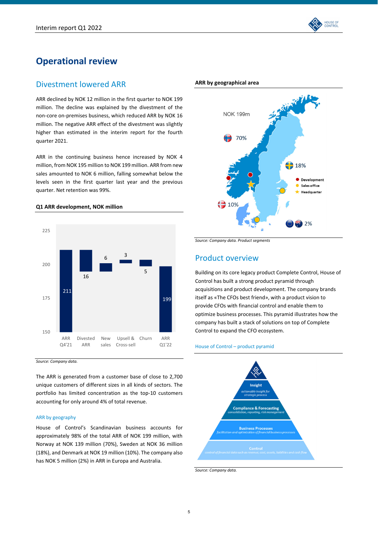

# **Operational review**

# Divestment lowered ARR

ARR declined by NOK 12 million in the first quarter to NOK 199 million. The decline was explained by the divestment of the non‐core on‐premises business, which reduced ARR by NOK 16 million. The negative ARR effect of the divestment was slightly higher than estimated in the interim report for the fourth quarter 2021.

ARR in the continuing business hence increased by NOK 4 million, from NOK 195 million to NOK 199 million. ARR from new sales amounted to NOK 6 million, falling somewhat below the levels seen in the first quarter last year and the previous quarter. Net retention was 99%.

# **Q1 ARR development, NOK million**



*Source: Company data.* 

The ARR is generated from a customer base of close to 2,700 unique customers of different sizes in all kinds of sectors. The portfolio has limited concentration as the top‐10 customers accounting for only around 4% of total revenue.

### ARR by geography

House of Control's Scandinavian business accounts for approximately 98% of the total ARR of NOK 199 million, with Norway at NOK 139 million (70%), Sweden at NOK 36 million (18%), and Denmark at NOK 19 million (10%). The company also has NOK 5 million (2%) in ARR in Europa and Australia.



#### **ARR by geographical area**

*Source: Company data. Product segments*

# Product overview

Building on its core legacy product Complete Control, House of Control has built a strong product pyramid through acquisitions and product development. The company brands itself as «The CFOs best friend», with a product vision to provide CFOs with financial control and enable them to optimize business processes. This pyramid illustrates how the company has built a stack of solutions on top of Complete Control to expand the CFO ecosystem.

#### House of Control – product pyramid



*Source: Company data.*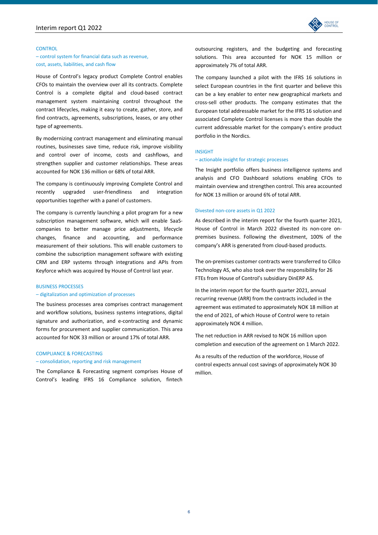

#### **CONTROL**

### – control system for financial data such as revenue, cost, assets, liabilities, and cash flow

House of Control's legacy product Complete Control enables CFOs to maintain the overview over all its contracts. Complete Control is a complete digital and cloud‐based contract management system maintaining control throughout the contract lifecycles, making it easy to create, gather, store, and find contracts, agreements, subscriptions, leases, or any other type of agreements.

By modernizing contract management and eliminating manual routines, businesses save time, reduce risk, improve visibility and control over of income, costs and cashflows, and strengthen supplier and customer relationships. These areas accounted for NOK 136 million or 68% of total ARR.

The company is continuously improving Complete Control and recently upgraded user‐friendliness and integration opportunities together with a panel of customers.

The company is currently launching a pilot program for a new subscription management software, which will enable SaaS‐ companies to better manage price adjustments, lifecycle changes, finance and accounting, and performance measurement of their solutions. This will enable customers to combine the subscription management software with existing CRM and ERP systems through integrations and APIs from Keyforce which was acquired by House of Control last year.

#### BUSINESS PROCESSES

### – digitalization and optimization of processes

The business processes area comprises contract management and workflow solutions, business systems integrations, digital signature and authorization, and e-contracting and dynamic forms for procurement and supplier communication. This area accounted for NOK 33 million or around 17% of total ARR.

### COMPLIANCE & FORECASTING

#### – consolidation, reporting and risk management

The Compliance & Forecasting segment comprises House of Control's leading IFRS 16 Compliance solution, fintech

outsourcing registers, and the budgeting and forecasting solutions. This area accounted for NOK 15 million or approximately 7% of total ARR.

The company launched a pilot with the IFRS 16 solutions in select European countries in the first quarter and believe this can be a key enabler to enter new geographical markets and cross‐sell other products. The company estimates that the European total addressable market for the IFRS 16 solution and associated Complete Control licenses is more than double the current addressable market for the company's entire product portfolio in the Nordics.

### INSIGHT

#### – actionable insight for strategic processes

The Insight portfolio offers business intelligence systems and analysis and CFO Dashboard solutions enabling CFOs to maintain overview and strengthen control. This area accounted for NOK 13 million or around 6% of total ARR.

#### Divested non‐core assets in Q1 2022

As described in the interim report for the fourth quarter 2021, House of Control in March 2022 divested its non-core onpremises business. Following the divestment, 100% of the company's ARR is generated from cloud‐based products.

The on‐premises customer contracts were transferred to Cillco Technology AS, who also took over the responsibility for 26 FTEs from House of Control's subsidiary DinERP AS.

In the interim report for the fourth quarter 2021, annual recurring revenue (ARR) from the contracts included in the agreement was estimated to approximately NOK 18 million at the end of 2021, of which House of Control were to retain approximately NOK 4 million.

The net reduction in ARR revised to NOK 16 million upon completion and execution of the agreement on 1 March 2022.

As a results of the reduction of the workforce, House of control expects annual cost savings of approximately NOK 30 million.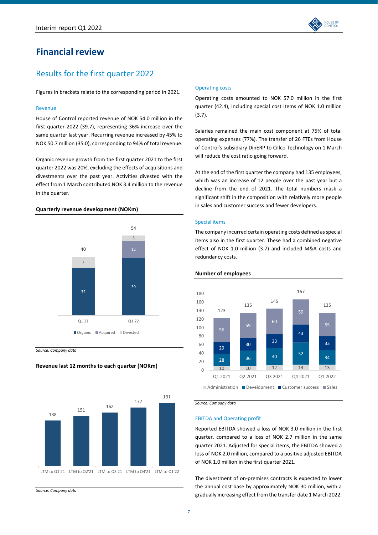

# Results for the first quarter 2022

Figures in brackets relate to the corresponding period in 2021.

### Revenue

House of Control reported revenue of NOK 54.0 million in the first quarter 2022 (39.7), representing 36% increase over the same quarter last year. Recurring revenue increased by 45% to NOK 50.7 million (35.0), corresponding to 94% of total revenue.

Organic revenue growth from the first quarter 2021 to the first quarter 2022 was 20%, excluding the effects of acquisitions and divestments over the past year. Activities divested with the effect from 1 March contributed NOK 3.4 million to the revenue in the quarter.

### **Quarterly revenue development (NOKm)**



**Revenue last 12 months to each quarter (NOKm)**

*Source: Company data*



*Source: Company data*

### Operating costs

Operating costs amounted to NOK 57.0 million in the first quarter (42.4), including special cost items of NOK 1.0 million (3.7).

Salaries remained the main cost component at 75% of total operating expenses (77%). The transfer of 26 FTEs from House of Control's subsidiary DinERP to Cillco Technology on 1 March will reduce the cost ratio going forward.

At the end of the first quarter the company had 135 employees, which was an increase of 12 people over the past year but a decline from the end of 2021. The total numbers mask a significant shift in the composition with relatively more people in sales and customer success and fewer developers.

## Special items

The company incurred certain operating costs defined as special items also in the first quarter. These had a combined negative effect of NOK 1.0 million (3.7) and included M&A costs and redundancy costs.





*Source: Company data* 

#### EBITDA and Operating profit

Reported EBITDA showed a loss of NOK 3.0 million in the first quarter, compared to a loss of NOK 2.7 million in the same quarter 2021. Adjusted for special items, the EBITDA showed a loss of NOK 2.0 million, compared to a positive adjusted EBITDA of NOK 1.0 million in the first quarter 2021.

The divestment of on‐premises contracts is expected to lower the annual cost base by approximately NOK 30 million, with a gradually increasing effect from the transfer date 1 March 2022.

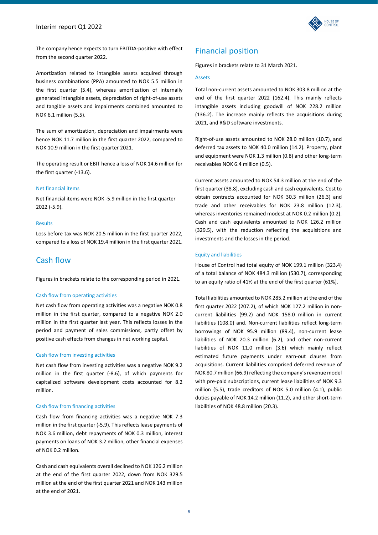

The company hence expects to turn EBITDA‐positive with effect from the second quarter 2022.

Amortization related to intangible assets acquired through business combinations (PPA) amounted to NOK 5.5 million in the first quarter (5.4), whereas amortization of internally generated intangible assets, depreciation of right‐of‐use assets and tangible assets and impairments combined amounted to NOK 6.1 million (5.5).

The sum of amortization, depreciation and impairments were hence NOK 11.7 million in the first quarter 2022, compared to NOK 10.9 million in the first quarter 2021.

The operating result or EBIT hence a loss of NOK 14.6 million for the first quarter (‐13.6).

#### Net financial items

Net financial items were NOK ‐5.9 million in the first quarter 2022 (‐5.9).

#### Results

Loss before tax was NOK 20.5 million in the first quarter 2022, compared to a loss of NOK 19.4 million in the first quarter 2021.

# Cash flow

Figures in brackets relate to the corresponding period in 2021.

### Cash flow from operating activities

Net cash flow from operating activities was a negative NOK 0.8 million in the first quarter, compared to a negative NOK 2.0 million in the first quarter last year. This reflects losses in the period and payment of sales commissions, partly offset by positive cash effects from changes in net working capital.

### Cash flow from investing activities

Net cash flow from investing activities was a negative NOK 9.2 million in the first quarter (‐8.6), of which payments for capitalized software development costs accounted for 8.2 million.

# Cash flow from financing activities

Cash flow from financing activities was a negative NOK 7.3 million in the first quarter (‐5.9). This reflects lease payments of NOK 3.6 million, debt repayments of NOK 0.3 million, interest payments on loans of NOK 3.2 million, other financial expenses of NOK 0.2 million.

Cash and cash equivalents overall declined to NOK 126.2 million at the end of the first quarter 2022, down from NOK 329.5 million at the end of the first quarter 2021 and NOK 143 million at the end of 2021.

# Financial position

Figures in brackets relate to 31 March 2021.

#### Assets

Total non‐current assets amounted to NOK 303.8 million at the end of the first quarter 2022 (162.4). This mainly reflects intangible assets including goodwill of NOK 228.2 million (136.2). The increase mainly reflects the acquisitions during 2021, and R&D software investments.

Right‐of‐use assets amounted to NOK 28.0 million (10.7), and deferred tax assets to NOK 40.0 million (14.2). Property, plant and equipment were NOK 1.3 million (0.8) and other long‐term receivables NOK 6.4 million (0.5).

Current assets amounted to NOK 54.3 million at the end of the first quarter (38.8), excluding cash and cash equivalents. Cost to obtain contracts accounted for NOK 30.3 million (26.3) and trade and other receivables for NOK 23.8 million (12.3), whereas inventories remained modest at NOK 0.2 million (0.2). Cash and cash equivalents amounted to NOK 126.2 million (329.5), with the reduction reflecting the acquisitions and investments and the losses in the period.

# Equity and liabilities

House of Control had total equity of NOK 199.1 million (323.4) of a total balance of NOK 484.3 million (530.7), corresponding to an equity ratio of 41% at the end of the first quarter (61%).

Total liabilities amounted to NOK 285.2 million at the end of the first quarter 2022 (207.2), of which NOK 127.2 million in non‐ current liabilities (99.2) and NOK 158.0 million in current liabilities (108.0) and. Non‐current liabilities reflect long‐term borrowings of NOK 95.9 million (89.4), non‐current lease liabilities of NOK 20.3 million (6.2), and other non‐current liabilities of NOK 11.0 million (3.6) which mainly reflect estimated future payments under earn‐out clauses from acquisitions. Current liabilities comprised deferred revenue of NOK 80.7 million (66.9) reflecting the company's revenue model with pre-paid subscriptions, current lease liabilities of NOK 9.3 million (5.5), trade creditors of NOK 5.0 million (4.1), public duties payable of NOK 14.2 million (11.2), and other short-term liabilities of NOK 48.8 million (20.3).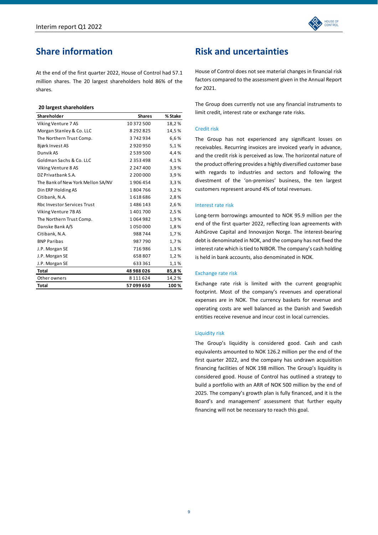

# **Share information**

At the end of the first quarter 2022, House of Control had 57.1 million shares. The 20 largest shareholders hold 86% of the shares.

### **20 largest shareholders**

| Shareholder                        | <b>Shares</b> | % Stake |
|------------------------------------|---------------|---------|
| Viking Venture 7 AS                | 10 372 500    | 18,2%   |
| Morgan Stanley & Co. LLC           | 8 2 9 2 8 2 5 | 14,5%   |
| The Northern Trust Comp.           | 3742934       | 6,6%    |
| Bjørk Invest AS                    | 2920950       | 5,1%    |
| Dunvik AS                          | 2539500       | 4,4%    |
| Goldman Sachs & Co. LLC            | 2 3 5 3 4 9 8 | 4,1%    |
| Viking Venture 8 AS                | 2 247 400     | 3.9%    |
| DZ Privatbank S.A.                 | 2 200 000     | 3,9%    |
| The Bank of New York Mellon SA/NV  | 1906454       | 3,3%    |
| Din ERP Holding AS                 | 1804766       | 3,2%    |
| Citibank, N.A.                     | 1618686       | 2,8%    |
| <b>Rbc Investor Services Trust</b> | 1486143       | 2,6%    |
| Viking Venture 7B AS               | 1401700       | 2,5%    |
| The Northern Trust Comp.           | 1064982       | 1,9%    |
| Danske Bank A/S                    | 1050000       | 1,8%    |
| Citibank, N.A.                     | 988744        | 1,7%    |
| <b>BNP Paribas</b>                 | 987790        | 1,7%    |
| J.P. Morgan SE                     | 716986        | 1,3%    |
| J.P. Morgan SE                     | 658807        | 1,2%    |
| J.P. Morgan SE                     | 633361        | 1,1%    |
| <b>Total</b>                       | 48 988 026    | 85,8%   |
| Other owners                       | 8 1 1 1 6 2 4 | 14,2%   |
| <b>Total</b>                       | 57 099 650    | 100%    |

# **Risk and uncertainties**

House of Control does not see material changes in financial risk factors compared to the assessment given in the Annual Report for 2021.

The Group does currently not use any financial instruments to limit credit, interest rate or exchange rate risks.

### Credit risk

The Group has not experienced any significant losses on receivables. Recurring invoices are invoiced yearly in advance, and the credit risk is perceived as low. The horizontal nature of the product offering provides a highly diversified customer base with regards to industries and sectors and following the divestment of the 'on‐premises' business, the ten largest customers represent around 4% of total revenues.

### Interest rate risk

Long‐term borrowings amounted to NOK 95.9 million per the end of the first quarter 2022, reflecting loan agreements with AshGrove Capital and Innovasjon Norge. The interest‐bearing debt is denominated in NOK, and the company has not fixed the interest rate which is tied to NIBOR. The company's cash holding is held in bank accounts, also denominated in NOK.

### Exchange rate risk

Exchange rate risk is limited with the current geographic footprint. Most of the company's revenues and operational expenses are in NOK. The currency baskets for revenue and operating costs are well balanced as the Danish and Swedish entities receive revenue and incur cost in local currencies.

### Liquidity risk

The Group's liquidity is considered good. Cash and cash equivalents amounted to NOK 126.2 million per the end of the first quarter 2022, and the company has undrawn acquisition financing facilities of NOK 198 million. The Group's liquidity is considered good. House of Control has outlined a strategy to build a portfolio with an ARR of NOK 500 million by the end of 2025. The company's growth plan is fully financed, and it is the Board's and management' assessment that further equity financing will not be necessary to reach this goal.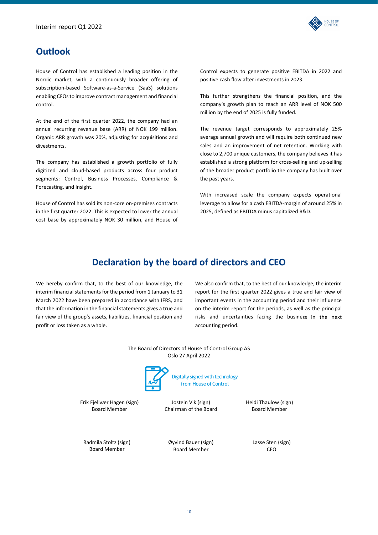

# **Outlook**

House of Control has established a leading position in the Nordic market, with a continuously broader offering of subscription‐based Software‐as‐a‐Service (SaaS) solutions enabling CFOs to improve contract management and financial control.

At the end of the first quarter 2022, the company had an annual recurring revenue base (ARR) of NOK 199 million. Organic ARR growth was 20%, adjusting for acquisitions and divestments.

The company has established a growth portfolio of fully digitized and cloud‐based products across four product segments: Control, Business Processes, Compliance & Forecasting, and Insight.

House of Control has sold its non‐core on‐premises contracts in the first quarter 2022. This is expected to lower the annual cost base by approximately NOK 30 million, and House of Control expects to generate positive EBITDA in 2022 and positive cash flow after investments in 2023.

This further strengthens the financial position, and the company's growth plan to reach an ARR level of NOK 500 million by the end of 2025 is fully funded.

The revenue target corresponds to approximately 25% average annual growth and will require both continued new sales and an improvement of net retention. Working with close to 2,700 unique customers, the company believes it has established a strong platform for cross-selling and up-selling of the broader product portfolio the company has built over the past years.

With increased scale the company expects operational leverage to allow for a cash EBITDA‐margin of around 25% in 2025, defined as EBITDA minus capitalized R&D.

# **Declaration by the board of directors and CEO**

We hereby confirm that, to the best of our knowledge, the interim financial statements for the period from 1 January to 31 March 2022 have been prepared in accordance with IFRS, and that the information in the financial statements gives a true and fair view of the group's assets, liabilities, financial position and profit or loss taken as a whole.

We also confirm that, to the best of our knowledge, the interim report for the first quarter 2022 gives a true and fair view of important events in the accounting period and their influence on the interim report for the periods, as well as the principal risks and uncertainties facing the business in the next accounting period.

The Board of Directors of House of Control Group AS Oslo 27 April 2022



Digitally signed with technology from House of Control

Erik Fjellvær Hagen (sign) Board Member

Jostein Vik (sign) Chairman of the Board Heidi Thaulow (sign) Board Member

Radmila Stoltz (sign) Board Member

Øyvind Bauer (sign) Board Member

Lasse Sten (sign) CEO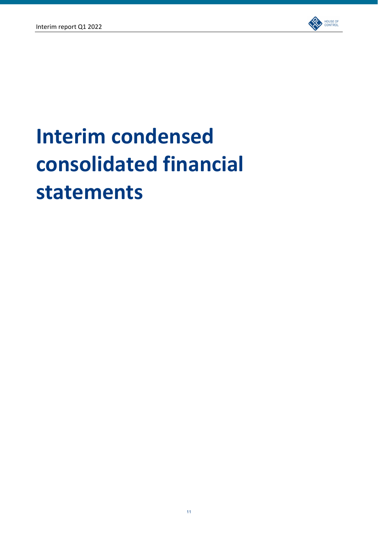

# **Interim condensed consolidated financial statements**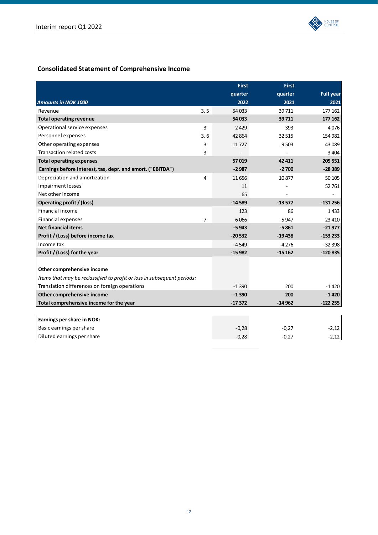

# **Consolidated Statement of Comprehensive Income**

|                                                                         |                | <b>First</b> | <b>First</b> |                  |
|-------------------------------------------------------------------------|----------------|--------------|--------------|------------------|
|                                                                         |                | quarter      | quarter      | <b>Full year</b> |
| <b>Amounts in NOK 1000</b>                                              |                | 2022         | 2021         | 2021             |
| Revenue                                                                 | 3, 5           | 54 033       | 39711        | 177 162          |
| <b>Total operating revenue</b>                                          |                | 54 033       | 39711        | 177 162          |
| Operational service expenses                                            | 3              | 2429         | 393          | 4076             |
| Personnel expenses                                                      | 3,6            | 42 8 64      | 32 515       | 154 982          |
| Other operating expenses                                                | 3              | 11727        | 9503         | 43 089           |
| <b>Transaction related costs</b>                                        | 3              |              |              | 3 4 0 4          |
| <b>Total operating expenses</b>                                         |                | 57019        | 42 411       | 205 551          |
| Earnings before interest, tax, depr. and amort. ("EBITDA")              |                | $-2987$      | $-2700$      | $-28389$         |
| Depreciation and amortization                                           | $\overline{4}$ | 11 656       | 10877        | 50 105           |
| <b>Impairment losses</b>                                                |                | 11           |              | 52761            |
| Net other income                                                        |                | 65           |              |                  |
| Operating profit / (loss)                                               |                | $-14589$     | $-13577$     | $-131256$        |
| Financial income                                                        |                | 123          | 86           | 1433             |
| Financial expenses                                                      | $\overline{7}$ | 6066         | 5947         | 23 4 10          |
| <b>Net financial items</b>                                              |                | $-5943$      | $-5861$      | $-21977$         |
| Profit / (Loss) before income tax                                       |                | $-20532$     | $-19438$     | $-153233$        |
| Income tax                                                              |                | $-4549$      | $-4276$      | $-32398$         |
| Profit / (Loss) for the year                                            |                | $-15982$     | $-15162$     | $-120835$        |
|                                                                         |                |              |              |                  |
| Other comprehensive income                                              |                |              |              |                  |
| Items that may be reclassified to profit or loss in subsequent periods: |                |              |              |                  |
| Translation differences on foreign operations                           |                | $-1390$      | 200          | -1420            |
| Other comprehensive income                                              |                | $-1390$      | 200          | $-1420$          |
| Total comprehensive income for the year                                 |                | $-17372$     | $-14962$     | $-122255$        |
|                                                                         |                |              |              |                  |
| Earnings per share in NOK:                                              |                |              |              |                  |
| Basic earnings per share                                                |                | $-0,28$      | $-0.27$      | $-2,12$          |
| Diluted earnings per share                                              |                | $-0,28$      | $-0,27$      | $-2,12$          |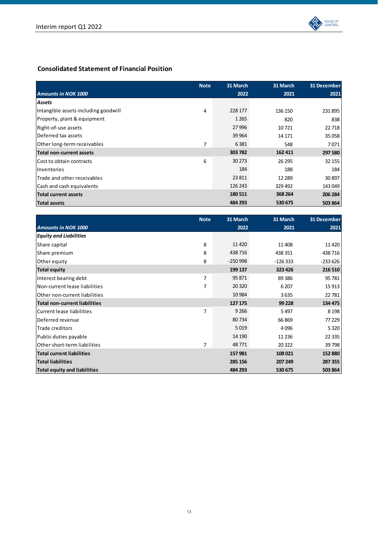

# **Consolidated Statement of Financial Position**

|                                      | <b>Note</b> | 31 March | 31 March | 31 December |
|--------------------------------------|-------------|----------|----------|-------------|
| <b>Amounts in NOK 1000</b>           |             | 2022     | 2021     | 2021        |
| Assets                               |             |          |          |             |
| Intangible assets including goodwill | 4           | 228 177  | 136 150  | 231895      |
| Property, plant & equipment          |             | 1 2 6 5  | 820      | 838         |
| Right-of-use assets                  |             | 27 996   | 10721    | 22 7 18     |
| Deferred tax assets                  |             | 39 9 64  | 14 17 1  | 35 058      |
| Other long-term receivables          | 7           | 6381     | 548      | 7071        |
| Total non-current assets             |             | 303 782  | 162 411  | 297 580     |
| lCost to obtain contracts            | 6           | 30 273   | 26 29 5  | 32 155      |
| Inventories                          |             | 184      | 188      | 184         |
| Trade and other receivables          |             | 23 811   | 12 2 8 9 | 30897       |
| Cash and cash equivalents            |             | 126 243  | 329492   | 143 049     |
| <b>Total current assets</b>          |             | 180511   | 368 264  | 206 284     |
| Total assets                         |             | 484 293  | 530 675  | 503 864     |

|                                      | <b>Note</b> | 31 March  | 31 March  | 31 December |
|--------------------------------------|-------------|-----------|-----------|-------------|
| <b>Amounts in NOK 1000</b>           |             | 2022      | 2021      | 2021        |
| <b>Equity and Liabilities</b>        |             |           |           |             |
| Share capital                        | 8           | 11 4 20   | 11408     | 11420       |
| Share premium                        | 8           | 438716    | 438 351   | 438716      |
| Other equity                         | 8           | $-250998$ | $-126333$ | $-233626$   |
| <b>Total equity</b>                  |             | 199 137   | 323 426   | 216 510     |
| Interest bearing debt                | 7           | 95 871    | 89 3 86   | 95 781      |
| Non-current lease liabilities        | 7           | 20 3 20   | 6 2 0 7   | 15 913      |
| Other non-current liabilities        |             | 10 9 84   | 3635      | 22781       |
| <b>Total non-current liabilities</b> |             | 127 175   | 99 228    | 134 475     |
| Current lease liabilities            | 7           | 9 2 6 6   | 5497      | 8 1 9 8     |
| Deferred revenue                     |             | 80734     | 66869     | 77 229      |
| Trade creditors                      |             | 5019      | 4096      | 5 3 2 0     |
| Public duties payable                |             | 14 190    | 11 2 36   | 22 3 35     |
| Other short-term liabilities         | 7           | 48771     | 20322     | 39798       |
| <b>Total current liabilities</b>     |             | 157981    | 108 021   | 152 880     |
| <b>Total liabilities</b>             |             | 285 156   | 207 249   | 287 355     |
| <b>Total equity and liabilities</b>  |             | 484 293   | 530 675   | 503 864     |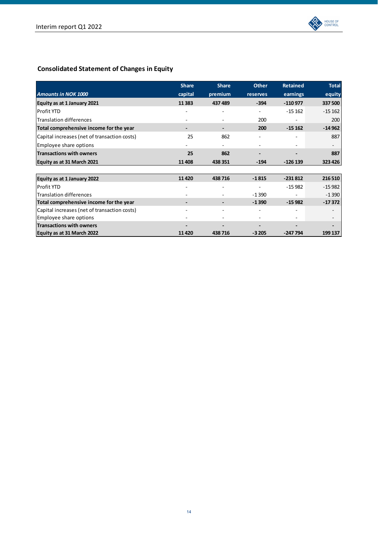

# **Consolidated Statement of Changes in Equity**

|                                              | <b>Share</b> | <b>Share</b>             | <b>Other</b> | <b>Retained</b> | <b>Total</b> |
|----------------------------------------------|--------------|--------------------------|--------------|-----------------|--------------|
| <b>Amounts in NOK 1000</b>                   | capital      | premium                  | reserves     | earnings        | equity       |
| Equity as at 1 January 2021                  | 11 3 8 3     | 437 489                  | $-394$       | $-110977$       | 337 500      |
| <b>Profit YTD</b>                            |              |                          |              | $-15162$        | $-15162$     |
| <b>Translation differences</b>               |              |                          | 200          |                 | 200          |
| Total comprehensive income for the year      |              |                          | 200          | $-15162$        | $-14962$     |
| Capital increases (net of transaction costs) | 25           | 862                      |              |                 | 887          |
| Employee share options                       |              |                          |              |                 |              |
| <b>Transactions with owners</b>              | 25           | 862                      |              |                 | 887          |
| Equity as at 31 March 2021                   | 11 408       | 438 351                  | $-194$       | $-126139$       | 323 426      |
|                                              |              |                          |              |                 |              |
| Equity as at 1 January 2022                  | 11420        | 438716                   | $-1815$      | $-231812$       | 216 510      |
| Profit YTD                                   |              |                          |              | $-15982$        | $-15982$     |
| <b>Translation differences</b>               |              |                          | $-1390$      |                 | $-1390$      |
| Total comprehensive income for the year      |              |                          | $-1390$      | $-15982$        | $-17372$     |
| Capital increases (net of transaction costs) |              | $\overline{\phantom{0}}$ |              |                 | ٠            |
| Employee share options                       |              |                          |              |                 |              |
| <b>Transactions with owners</b>              |              |                          |              |                 |              |
| Equity as at 31 March 2022                   | 11420        | 438716                   | $-3205$      | $-247794$       | 199 137      |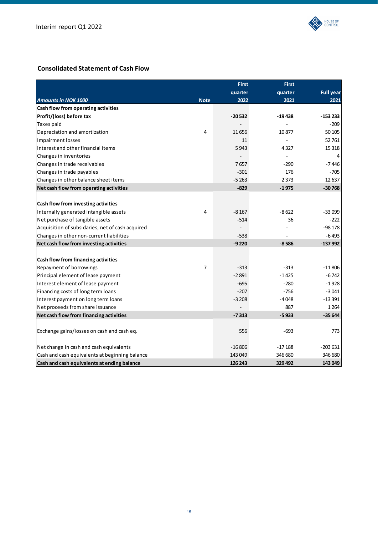

# **Consolidated Statement of Cash Flow**

|                                                  |                | <b>First</b> | <b>First</b> |                  |
|--------------------------------------------------|----------------|--------------|--------------|------------------|
|                                                  |                | quarter      | quarter      | <b>Full year</b> |
| <b>Amounts in NOK 1000</b>                       | <b>Note</b>    | 2022         | 2021         | 2021             |
| Cash flow from operating activities              |                |              |              |                  |
| Profit/(loss) before tax                         |                | $-20532$     | $-19438$     | $-153233$        |
| Taxes paid                                       |                |              |              | $-209$           |
| Depreciation and amortization                    | 4              | 11656        | 10877        | 50 105           |
| <b>Impairment losses</b>                         |                | 11           |              | 52 761           |
| Interest and other financial items               |                | 5943         | 4327         | 15 3 18          |
| Changes in inventories                           |                |              | L.           | 4                |
| Changes in trade receivables                     |                | 7657         | $-290$       | -7446            |
| Changes in trade payables                        |                | $-301$       | 176          | -705             |
| Changes in other balance sheet items             |                | $-5263$      | 2 3 7 3      | 12 637           |
| Net cash flow from operating activities          |                | $-829$       | $-1975$      | $-30768$         |
|                                                  |                |              |              |                  |
| Cash flow from investing activities              |                |              |              |                  |
| Internally generated intangible assets           | 4              | $-8167$      | $-8622$      | $-33099$         |
| Net purchase of tangible assets                  |                | $-514$       | 36           | $-222$           |
| Acquisition of subsidaries, net of cash acquired |                |              |              | $-98178$         |
| Changes in other non-current liabilities         |                | $-538$       |              | $-6493$          |
| Net cash flow from investing activities          |                | $-9220$      | $-8586$      | $-137992$        |
|                                                  |                |              |              |                  |
| Cash flow from financing activities              |                |              |              |                  |
| Repayment of borrowings                          | $\overline{7}$ | $-313$       | $-313$       | $-11806$         |
| Principal element of lease payment               |                | $-2891$      | $-1425$      | $-6742$          |
| Interest element of lease payment                |                | $-695$       | $-280$       | $-1928$          |
| Financing costs of long term loans               |                | $-207$       | $-756$       | $-3041$          |
| Interest payment on long term loans              |                | $-3208$      | $-4048$      | $-13391$         |
| Net proceeds from share issuance                 |                |              | 887          | 1 2 6 4          |
| Net cash flow from financing activities          |                | $-7313$      | $-5933$      | $-35644$         |
|                                                  |                |              |              |                  |
| Exchange gains/losses on cash and cash eq.       |                | 556          | $-693$       | 773              |
|                                                  |                |              |              |                  |
| Net change in cash and cash equivalents          |                | $-16806$     | $-17188$     | $-203631$        |
| Cash and cash equivalents at beginning balance   |                | 143 049      | 346 680      | 346 680          |
| Cash and cash equivalents at ending balance      |                | 126 243      | 329 492      | 143 049          |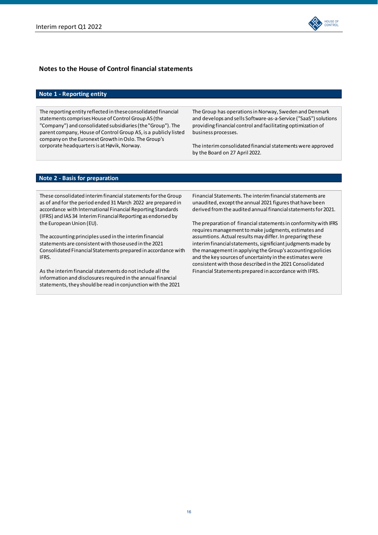

# **Notes to the House of Control financial statements**

# **Note 1 ‐ Reporting entity**

The reporting entity reflected in theseconsolidated financial statements comprises House of Control Group AS (the "Company") and consolidated subsidiaries(the"Group"). The parent company, House of Control Group AS, is a publicly listed company on the Euronext Growth in Oslo. The Group's corporate headquartersis at Høvik, Norway.

The Group has operations in Norway, Sweden and Denmark and develops and sells Software-as-a-Service ("SaaS") solutions providing financial control and facilitatingoptimization of business processes.

The interim consolidated financial statements were approved by the Board on 27 April 2022.

# **Note 2 ‐ Basis for preparation**

These consolidated interim financial statements for the Group as of and for the period ended 31 March 2022 are prepared in accordance with International Financial Reporting Standards (IFRS) and IAS 34 Interim FinancialReporting as endorsed by the European Union (EU).

The accountingprinciples used in the interimfinancial statements are consistent with those used in the 2021 Consolidated FinancialStatements prepared in accordance with IFRS.

As the interim financial statements do not include all the information and disclosures required in the annual financial statements, they should be read in conjunction with the 2021

Financial Statements. The interim financial statements are unaudited, except the annual 2021 figures that have been derived from the audited annual financial statements for 2021.

The preparation of financial statements in conformity with IFRS requires management to make judgments, estimates and assumtions. Actual results may differ. In preparing these interim financial statements, significiant judgments made by the management in applying the Group's accounting policies and the key sources of uncertainty in the estimates were consistentwith those described in the 2021 Consolidated Financial Statements prepared in accordance with IFRS.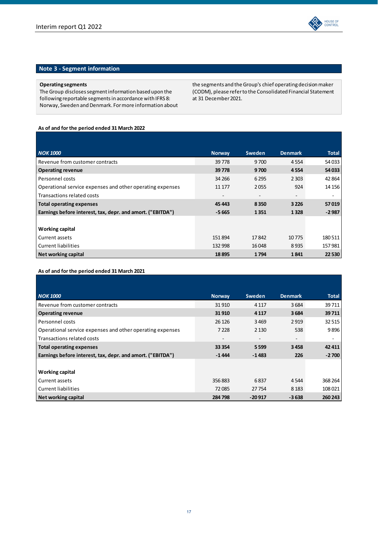

# **Note 3 ‐ Segment information**

### **Operating segments**

The Group discloses segment information based upon the following reportable segmentsin accordance with IFRS 8: Norway, Sweden and Denmark. For more information about the segments and the Group's chief operating decision maker (CODM), please referto the Consolidated Financial Statement at 31 December2021.

# **As of and forthe period ended 31 March 2022**

| <b>NOK 1000</b>                                            | <b>Norway</b> | Sweden                   | <b>Denmark</b> | <b>Total</b> |
|------------------------------------------------------------|---------------|--------------------------|----------------|--------------|
| Revenue from customer contracts                            | 39778         | 9700                     | 4554           | 54 033       |
| <b>Operating revenue</b>                                   | 39778         | 9700                     | 4554           | 54 033       |
| Personnel costs                                            | 34 26 6       | 6 2 9 5                  | 2 3 0 3        | 42 8 64      |
| Operational service expenses and other operating expenses  | 11 177        | 2055                     | 924            | 14 15 6      |
| Transactions related costs                                 |               | $\overline{\phantom{0}}$ | -              | ٠            |
| <b>Total operating expenses</b>                            | 45 443        | 8350                     | 3 2 2 6        | 57019        |
| Earnings before interest, tax, depr. and amort. ("EBITDA") | $-5665$       | 1351                     | 1328           | $-2987$      |
|                                                            |               |                          |                |              |
| <b>Working capital</b>                                     |               |                          |                |              |
| Current assets                                             | 151894        | 17842                    | 10775          | 180511       |
| <b>Current liabilities</b>                                 | 132 998       | 16048                    | 8935           | 157981       |
| Net working capital                                        | 18895         | 1794                     | 1841           | 22 5 30      |

# **As of and forthe period ended 31 March 2021**

| <b>NOK 1000</b>                                            | <b>Norway</b> | Sweden   | <b>Denmark</b> | <b>Total</b> |
|------------------------------------------------------------|---------------|----------|----------------|--------------|
| Revenue from customer contracts                            | 31910         | 4 1 1 7  | 3684           | 39711        |
| <b>Operating revenue</b>                                   | 31 910        | 4 1 1 7  | 3684           | 39711        |
| Personnel costs                                            | 26 1 26       | 3469     | 2919           | 32515        |
| Operational service expenses and other operating expenses  | 7 2 2 8       | 2 1 3 0  | 538            | 9896         |
| Transactions related costs                                 |               |          |                | ۰            |
| Total operating expenses                                   | 33 3 54       | 5 5 9 9  | 3458           | 42 411       |
| Earnings before interest, tax, depr. and amort. ("EBITDA") | $-1444$       | $-1483$  | 226            | $-2700$      |
|                                                            |               |          |                |              |
| <b>Working capital</b>                                     |               |          |                |              |
| Current assets                                             | 356883        | 6837     | 4544           | 368 264      |
| <b>Current liabilities</b>                                 | 72085         | 27754    | 8 1 8 3        | 108 021      |
| Net working capital                                        | 284798        | $-20917$ | $-3638$        | 260 243      |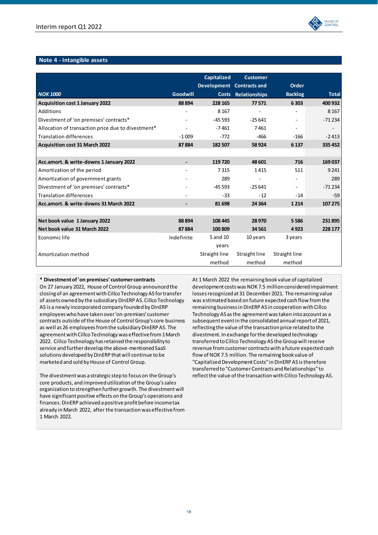

# **Note 4 ‐ Intangible assets**

|                                                    |                          | <b>Capitalized</b>                        | <b>Customer</b> | Order                    |              |
|----------------------------------------------------|--------------------------|-------------------------------------------|-----------------|--------------------------|--------------|
| <b>NOK 1000</b>                                    | <b>Goodwill</b>          | Development Contracts and<br><b>Costs</b> | Relationships   | <b>Backlog</b>           | <b>Total</b> |
| <b>Acquisition cost 1 January 2022</b>             | 88 894                   | 228 165                                   | 77571           | 6 3 0 3                  | 400 932      |
| Additions                                          |                          | 8 1 6 7                                   |                 |                          | 8 1 6 7      |
| Divestment of 'on premises' contracts*             |                          | $-45593$                                  | $-25641$        | $\overline{\phantom{a}}$ | $-71234$     |
| Allocation of transaction price due to divestment* |                          | $-7461$                                   | 7461            |                          |              |
| <b>Translation differences</b>                     | $-1009$                  | $-772$                                    | $-466$          | $-166$                   | $-2413$      |
| <b>Acquisition cost 31 March 2022</b>              | 87884                    | 182 507                                   | 58924           | 6 1 3 7                  | 335 452      |
|                                                    |                          |                                           |                 |                          |              |
| Acc.amort. & write-downs 1 January 2022            | $\overline{\phantom{a}}$ | 119720                                    | 48 601          | 716                      | 169 037      |
| Amortization of the period                         |                          | 7315                                      | 1415            | 511                      | 9 2 4 1      |
| Amortization of government grants                  |                          | 289                                       |                 |                          | 289          |
| Divestment of 'on premises' contracts*             |                          | -45 593                                   | $-25641$        | ٠                        | $-71234$     |
| <b>Translation differences</b>                     |                          | $-33$                                     | $-12$           | $-14$                    | $-59$        |
| Acc.amort. & write-downs 31 March 2022             |                          | 81 698                                    | 24 3 64         | 1 2 1 4                  | 107 275      |
|                                                    |                          |                                           |                 |                          |              |
| Net book value 1 January 2022                      | 88 894                   | 108 445                                   | 28 970          | 5586                     | 231895       |
| Net book value 31 March 2022                       | 87884                    | 100809                                    | 34 5 61         | 4923                     | 228 177      |
| Economic life                                      | Indefinite               | 5 and 10                                  | 10 years        | 3 years                  |              |
|                                                    |                          | years                                     |                 |                          |              |
| Amortization method                                |                          | Straight line                             | Straight line   | Straight line            |              |
|                                                    |                          | method                                    | method          | method                   |              |

# **\* Divestmentof'on premises' customer contracts**

On 27 January 2022, House of Control Group announced the closingof an agreementwith Cillco Technology AS fortransfer of assets owned by the subsidiary DinERP AS. Cillco Technology AS is a newly incorporated company founded by DinERP employeeswho have taken over'on‐premises' customer contracts outside of the House of Control Group's core business as well as 26 employees from the subsidiary DinERP AS. The agreementwith Cillco Technology was effectivefrom1March 2022. Cillco Technology has retained the responsibility to service and further develop the above-mentioned SaaS solutions developed by DinERP that will continue to be marketed and sold by House of Control Group.

The divestmentwas astrategic step to focus on the Group's core products, and improved utilization of the Group's sales organization to strengthen further growth. The divestment will have significant positive effects on the Group's operations and finances. DinERP achieved apositive profit before incometax already in March 2022, after the transaction was effective from 1 March 2022.

At 1 March 2022 the remainingbook value of capitalized development costs was NOK 7.5 million considered impairment losses recognized at 31 December 2021. The remaining value was estimated based on future expected cash flow fromthe remaining business in DinERP AS in cooperation with Cillco Technology AS asthe agreementwastaken into account as a subsequent event in the consolidated annual report of 2021, reflecting the value of the transaction price related to the divestment. In exchange forthe developed technology transferred to Cillco Technology AS the Group will receive revenue from customer contracts with a future expected cash flow of NOK 7.5 million. The remaining book value of "CapitalizedDevelopmentCosts" inDinERP AS istherefore transferred to "CustomerContracts and Relationships" to reflect the value of the transaction with Cillco Technology AS.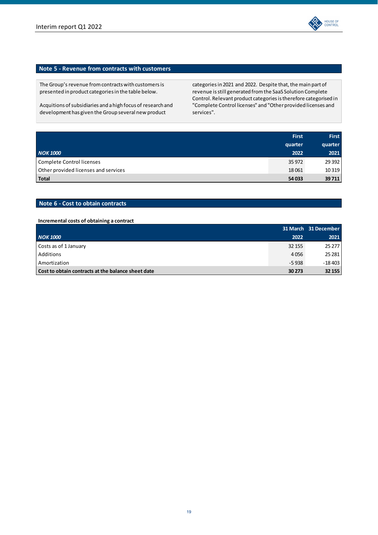

# **Note 5 ‐ Revenue from contracts with customers**

The Group's revenue from contracts with customers is presented in product categoriesin the table below.

Acquitions of subsidiaries and a high focus of research and development has given the Group several new product

categories in 2021 and 2022. Despite that, the main part of revenue isstill generated fromthe SaaS Solution Complete Control. Relevant product categoriesistherefore categorised in "Complete Control licenses" and "Other provided licenses and services".

|                                      | <b>First</b> | <b>First</b> |
|--------------------------------------|--------------|--------------|
|                                      | quarter      | quarter      |
| <b>NOK 1000</b>                      | 2022         | 2021         |
| Complete Control licenses            | 35 972       | 29 3 92      |
| Other provided licenses and services | 18061        | 10 3 19      |
| <b>Total</b>                         | 54 033       | 39 711       |

# **Note 6 ‐ Cost to obtain contracts**

### **Incremental costs of obtaining a contract**

|                                                    |         | 31 March 31 December |
|----------------------------------------------------|---------|----------------------|
| <b>NOK 1000</b>                                    | 2022    | 2021                 |
| Costs as of 1 January                              | 32 155  | 25 277               |
| Additions                                          | 4056    | 25 281               |
| Amortization                                       | $-5938$ | $-18403$             |
| Cost to obtain contracts at the balance sheet date | 30 273  | 32 155               |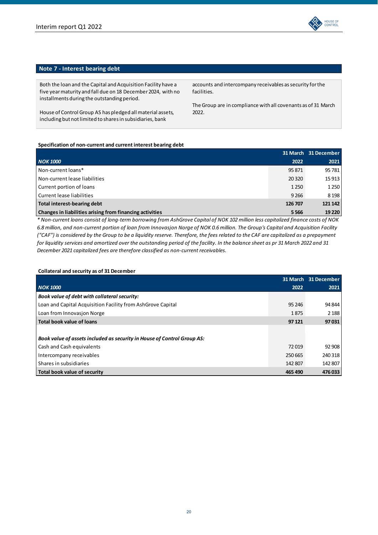

# **Note 7 ‐ Interest bearing debt**

Both the loan and the Capital and Acquisition Facility have a five yearmaturity and fall due on 18 December2024, with no installments during the outstanding period.

House of Control Group AS has pledged all material assets, including but not limited to shares in subsidiaries, bank

accounts and intercompany receivables as security for the facilities.

The Group are in compliance with all covenants as of 31 March 2022.

### **Specification of non‐current and current interest bearing debt**

|                                                          |         | 31 March 31 December |
|----------------------------------------------------------|---------|----------------------|
| <b>NOK 1000</b>                                          | 2022    | 2021                 |
| Non-current loans*                                       | 95 871  | 95 781               |
| Non-current lease liabilities                            | 20 3 20 | 15 913               |
| Current portion of loans                                 | 1 2 5 0 | 1 2 5 0              |
| Current lease liabilities                                | 9 2 6 6 | 8 1 9 8              |
| Total interest-bearing debt                              | 126 707 | 121 142              |
| Changes in liabilities arising from financing activities | 5566    | 19 2 20              |

\* Non-current loans consist of long-term borrowing from AshGrove Capital of NOK 102 million less capitalized finance costs of NOK 6.8 million, and non-current portion of loan from Innovasjon Norge of NOK 0.6 million. The Group's Capital and Acquisition Facility ("CAF") is considered by the Group to be a liquidity reserve. Therefore, the fees related to the CAF are capitalized as a prepayment for liquidity services and amortized over the outstanding period of the facility. In the balance sheet as pr 31 March 2022 and 31 *December 2021 capitalized fees are therefore classified as non‐current receivables.*

# **Collateral and security as of 31 December**

|                                                                         | 31 March | 31 December |
|-------------------------------------------------------------------------|----------|-------------|
| <b>NOK 1000</b>                                                         | 2022     | 2021        |
| Book value of debt with collateral security:                            |          |             |
| Loan and Capital Acquisition Facility from AshGrove Capital             | 95 24 6  | 94 844      |
| Loan from Innovasion Norge                                              | 1875     | 2 1 8 8     |
| Total book value of loans                                               | 97 121   | 97031       |
|                                                                         |          |             |
| Book value of assets included as security in House of Control Group AS: |          |             |
| Cash and Cash equivalents                                               | 72019    | 92 908      |
| Intercompany receivables                                                | 250 665  | 240 318     |
| Shares in subsidiaries                                                  | 142 807  | 142 807     |
| Total book value of security                                            | 465 490  | 476 033     |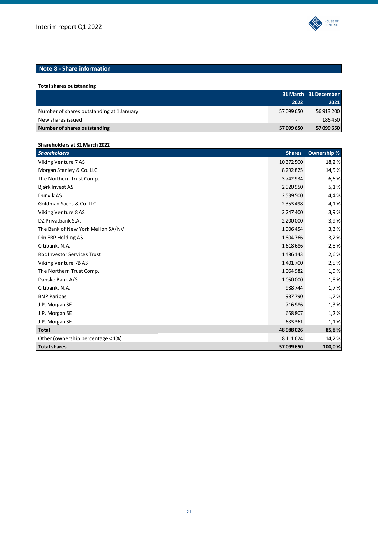

| Total shares outstanding                  |                          |                      |
|-------------------------------------------|--------------------------|----------------------|
|                                           |                          | 31 March 31 December |
|                                           | 2022                     | 2021                 |
| Number of shares outstanding at 1 January | 57 099 650               | 56 913 200           |
| New shares issued                         | $\overline{\phantom{a}}$ | 186 450              |
| Number of shares outstanding              | 57 099 650               | 57 099 650           |

| Shareholders at 31 March 2022      |               |             |
|------------------------------------|---------------|-------------|
| <b>Shareholders</b>                | <b>Shares</b> | Ownership % |
| Viking Venture 7AS                 | 10 372 500    | 18,2%       |
| Morgan Stanley & Co. LLC           | 8 2 9 2 8 2 5 | 14,5%       |
| The Northern Trust Comp.           | 3742934       | 6,6%        |
| Bjørk Invest AS                    | 2920950       | 5,1%        |
| Dunvik AS                          | 2 539 500     | 4,4%        |
| Goldman Sachs & Co. LLC            | 2 3 5 3 4 9 8 | 4,1%        |
| Viking Venture 8AS                 | 2 247 400     | 3,9%        |
| DZ Privatbank S.A.                 | 2 200 000     | 3,9%        |
| The Bank of New York Mellon SA/NV  | 1906454       | 3,3%        |
| Din ERP Holding AS                 | 1804766       | 3,2%        |
| Citibank, N.A.                     | 1618686       | 2,8%        |
| <b>Rbc Investor Services Trust</b> | 1486143       | 2,6%        |
| Viking Venture 7B AS               | 1401700       | 2,5%        |
| The Northern Trust Comp.           | 1064982       | 1,9%        |
| Danske Bank A/S                    | 1050000       | 1,8%        |
| Citibank, N.A.                     | 988 744       | 1,7%        |
| <b>BNP Paribas</b>                 | 987790        | 1,7%        |
| J.P. Morgan SE                     | 716986        | 1,3%        |
| J.P. Morgan SE                     | 658 807       | 1,2%        |
| J.P. Morgan SE                     | 633 361       | 1,1%        |
| <b>Total</b>                       | 48 988 026    | 85,8%       |
| Other (ownership percentage < 1%)  | 8 111 6 24    | 14,2%       |
| <b>Total shares</b>                | 57 099 650    | 100,0%      |

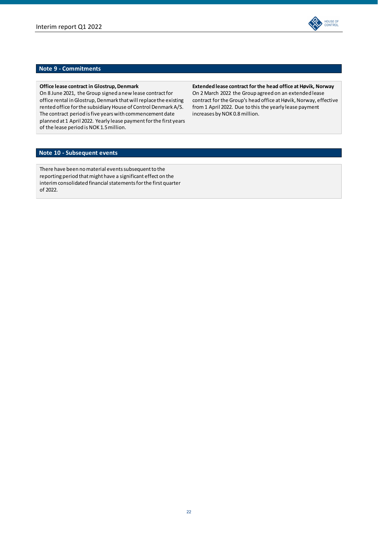

# **Note 9 ‐ Commitments**

**Office lease contract in Glostrup, Denmark** 

On 8 June 2021, the Group signed a new lease contract for office rental in Glostrup, Denmark that will replace the existing rented office for the subsidiary House of Control Denmark A/S. The contract period is five years with commencement date planned at 1 April 2022. Yearly lease payment for the first years of the lease period is NOK 1.5 million.

**Extended lease contract for the head office at Høvik, Norway** On 2 March 2022 the Group agreed on an extended lease contract for the Group's head office at Høvik, Norway, effective from1 April 2022. Due to this the yearly lease payment increases by NOK 0.8 million.

# **Note 10 ‐ Subsequent events**

There have been no material events subsequent to the reporting period that might have a significant effect on the interim consolidated financial statements for the first quarter of 2022.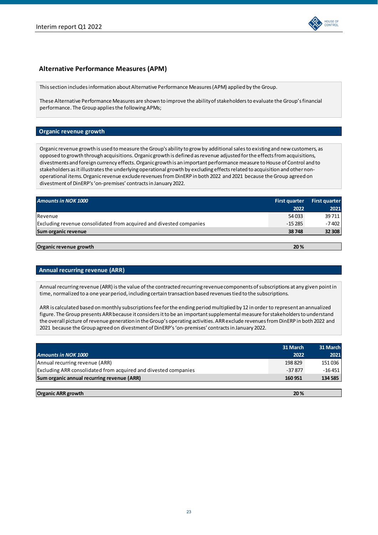

# **Alternative Performance Measures (APM)**

Thissection includesinformation aboutAlternative Performance Measures(APM) applied by the Group.

These Alternative Performance Measures are shown to improve the abilityofstakeholdersto evaluate the Group'sfinancial performance. The Group applies the following APMs;

# **Organic revenue growth**

Organic revenue growth is used tomeasure the Group's ability to grow by additionalsalesto existing and new customers, as opposed to growth through acquisitions. Organic growth is defined as revenue adjusted for the effects from acquisitions, divestments and foreign currency effects. Organic growth is an important performance measure to House of Control and to stakeholders as it illustrates the underlying operational growth by excluding effects related to acquisition and other nonoperational items. Organic revenue exclude revenues from DinERP in both 2022 and 2021 because the Group agreed on divestmentof DinERP's'on‐premises' contractsin January 2022.

| <b>Amounts in NOK 1000</b>                                          | <b>First quarter</b> | <b>First quarter</b> |
|---------------------------------------------------------------------|----------------------|----------------------|
|                                                                     | 2022                 | 2021                 |
| Revenue                                                             | 54 033               | 39 711               |
| Excluding revenue consolidated from acquired and divested companies | $-15285$             | $-7402$              |
| Sum organic revenue                                                 | 38748                | 32 308               |
|                                                                     |                      |                      |
| Organic revenue growth                                              | 20%                  |                      |

# **Annual recurring revenue (ARR)**

Annual recurring revenue (ARR) is the value of the contracted recurring revenue components of subscriptions at any given point in time, normalized to a one year period, including certain transaction based revenues tied to the subscriptions.

ARR is calculated based onmonthly subscriptionsfeeforthe endingperiodmultiplied by 12 in order to represent an annualized figure. The Group presents ARR because it considers it to be an important supplemental measure for stakeholders to understand the overall picture of revenue generation in the Group's operating activities. ARR exclude revenues from DinERP in both 2022 and 2021 because the Group agreed on divestment of DinERP's 'on-premises' contracts in January 2022.

|                                                                 | 31 March | 31 March |
|-----------------------------------------------------------------|----------|----------|
| <b>Amounts in NOK 1000</b>                                      | 2022     | 2021     |
| Annual recurring revenue (ARR)                                  | 198829   | 151 036  |
| Excluding ARR consolidated from acquired and divested companies | $-37877$ | $-16451$ |
| Sum organic annual recurring revenue (ARR)                      | 160 951  | 134 585  |
|                                                                 |          |          |
| <b>Organic ARR growth</b>                                       | 20%      |          |